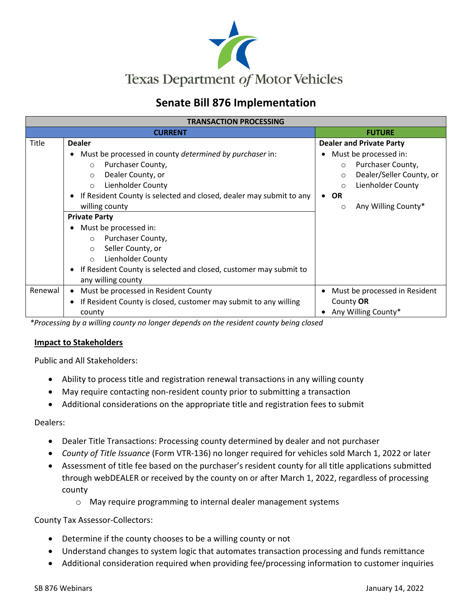

## **Senate Bill 876 Implementation**

| <b>TRANSACTION PROCESSING</b> |                                                                                  |                                     |  |
|-------------------------------|----------------------------------------------------------------------------------|-------------------------------------|--|
|                               | <b>CURRENT</b>                                                                   | <b>FUTURE</b>                       |  |
| <b>Title</b>                  | <b>Dealer</b>                                                                    | <b>Dealer and Private Party</b>     |  |
|                               | Must be processed in county determined by purchaser in:<br>٠                     | Must be processed in:               |  |
|                               | Purchaser County,<br>$\circ$                                                     | Purchaser County,<br>$\circ$        |  |
|                               | Dealer County, or<br>$\circ$                                                     | Dealer/Seller County, or<br>$\circ$ |  |
|                               | <b>Lienholder County</b><br>$\circ$                                              | Lienholder County<br>$\circ$        |  |
|                               | If Resident County is selected and closed, dealer may submit to any<br>$\bullet$ | <b>OR</b><br>$\bullet$              |  |
|                               | willing county                                                                   | Any Willing County*<br>$\circ$      |  |
|                               | <b>Private Party</b>                                                             |                                     |  |
|                               | Must be processed in:<br>$\bullet$                                               |                                     |  |
|                               | Purchaser County,<br>$\circ$                                                     |                                     |  |
|                               | Seller County, or<br>$\circ$                                                     |                                     |  |
|                               | Lienholder County<br>$\circ$                                                     |                                     |  |
|                               | • If Resident County is selected and closed, customer may submit to              |                                     |  |
|                               | any willing county                                                               |                                     |  |
| Renewal                       | Must be processed in Resident County<br>$\bullet$                                | Must be processed in Resident       |  |
|                               | If Resident County is closed, customer may submit to any willing<br>٠            | County OR                           |  |
|                               | county                                                                           | Any Willing County*                 |  |

*\*Processing by a willing county no longer depends on the resident county being closed*

#### **Impact to Stakeholders**

Public and All Stakeholders:

- Ability to process title and registration renewal transactions in any willing county
- May require contacting non-resident county prior to submitting a transaction
- Additional considerations on the appropriate title and registration fees to submit

Dealers:

- Dealer Title Transactions: Processing county determined by dealer and not purchaser
- *County of Title Issuance* (Form VTR-136) no longer required for vehicles sold March 1, 2022 or later
- Assessment of title fee based on the purchaser's resident county for all title applications submitted through webDEALER or received by the county on or after March 1, 2022, regardless of processing county
	- o May require programming to internal dealer management systems

County Tax Assessor-Collectors:

- Determine if the county chooses to be a willing county or not
- Understand changes to system logic that automates transaction processing and funds remittance
- Additional consideration required when providing fee/processing information to customer inquiries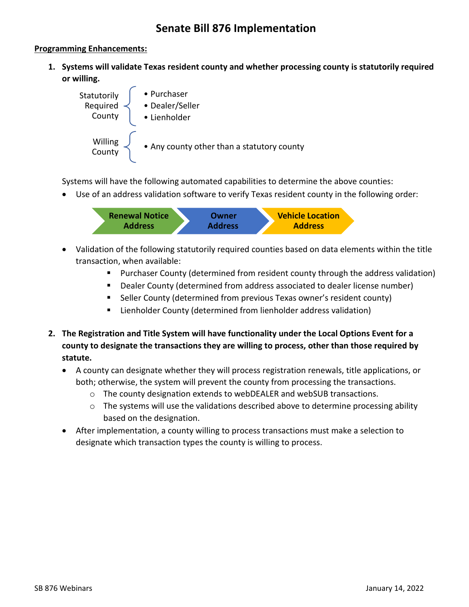### **Senate Bill 876 Implementation**

#### **Programming Enhancements:**

**1. Systems will validate Texas resident county and whether processing county is statutorily required or willing.** 



Systems will have the following automated capabilities to determine the above counties:

• Use of an address validation software to verify Texas resident county in the following order:



- Validation of the following statutorily required counties based on data elements within the title transaction, when available:
	- Purchaser County (determined from resident county through the address validation)
	- Dealer County (determined from address associated to dealer license number)
	- Seller County (determined from previous Texas owner's resident county)
	- **E** Lienholder County (determined from lienholder address validation)
- **2. The Registration and Title System will have functionality under the Local Options Event for a county to designate the transactions they are willing to process, other than those required by statute.**
	- A county can designate whether they will process registration renewals, title applications, or both; otherwise, the system will prevent the county from processing the transactions.
		- $\circ$  The county designation extends to webDEALER and webSUB transactions.
		- $\circ$  The systems will use the validations described above to determine processing ability based on the designation.
	- After implementation, a county willing to process transactions must make a selection to designate which transaction types the county is willing to process.